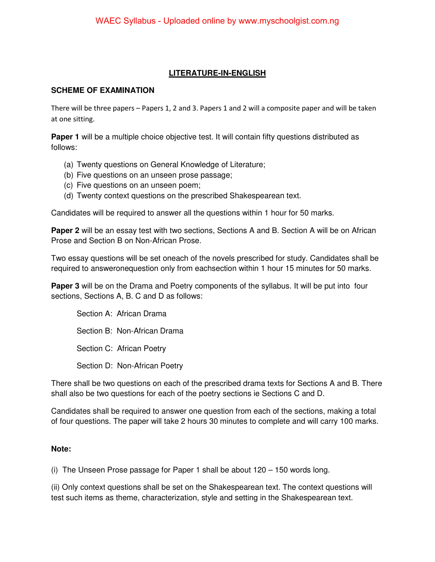## **LITERATURE-IN-ENGLISH**

## **SCHEME OF EXAMINATION**

There will be three papers – Papers 1, 2 and 3. Papers 1 and 2 will a composite paper and will be taken at one sitting.

**Paper 1** will be a multiple choice objective test. It will contain fifty questions distributed as follows:

- (a) Twenty questions on General Knowledge of Literature;
- (b) Five questions on an unseen prose passage;
- (c) Five questions on an unseen poem;
- (d) Twenty context questions on the prescribed Shakespearean text.

Candidates will be required to answer all the questions within 1 hour for 50 marks.

**Paper 2** will be an essay test with two sections, Sections A and B. Section A will be on African Prose and Section B on Non-African Prose.

Two essay questions will be set oneach of the novels prescribed for study. Candidates shall be required to answeronequestion only from eachsection within 1 hour 15 minutes for 50 marks.

**Paper 3** will be on the Drama and Poetry components of the syllabus. It will be put into four sections, Sections A, B. C and D as follows:

Section A: African Drama Section B: Non-African Drama Section C: African Poetry Section D: Non-African Poetry

There shall be two questions on each of the prescribed drama texts for Sections A and B. There shall also be two questions for each of the poetry sections ie Sections C and D.

Candidates shall be required to answer one question from each of the sections, making a total of four questions. The paper will take 2 hours 30 minutes to complete and will carry 100 marks.

## **Note:**

(i) The Unseen Prose passage for Paper 1 shall be about 120 – 150 words long.

(ii) Only context questions shall be set on the Shakespearean text. The context questions will test such items as theme, characterization, style and setting in the Shakespearean text.